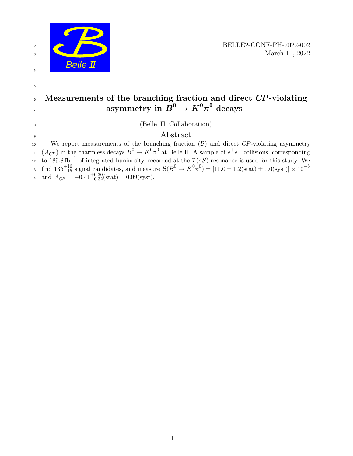

# $6$  Measurements of the branching fraction and direct  $CP$ -violating  $\begin{aligned} \text{asymmetry in } \pmb{B}^0 \to \pmb{K}^0 \pi^0 \; \text{decays} \end{aligned}$

<sup>10</sup> We report measurements of the branching fraction  $(B)$  and direct CP-violating asymmetry  $(1.1)(\mathcal{A}_{CP})$  in the charmless decays  $B^0 \to K^0 \pi^0$  at Belle II. A sample of  $e^+e^-$  collisions, corresponding to 189.8 fb<sup>-1</sup> of integrated luminosity, recorded at the  $\Upsilon(4S)$  resonance is used for this study. We find  $135^{+16}_{-15}$  signal candidates, and measure  $\mathcal{B}(B^0 \to K^0 \pi^0) = [11.0 \pm 1.2 \text{(stat)} \pm 1.0 \text{(syst)}] \times 10^{-6}$ 13  $\text{and } \mathcal{A}_{CP} = -0.41^{+0.30}_{-0.32} \text{(stat)} \pm 0.09 \text{(syst)}.$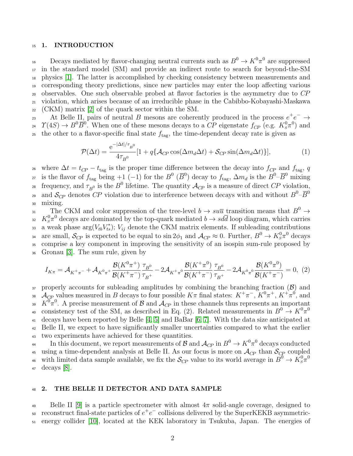### 15 1. INTRODUCTION

 $\Gamma_{16}$  Decays mediated by flavor-changing neutral currents such as  $B^0 \to K^0 \pi^0$  are suppressed in the standard model (SM) and provide an indirect route to search for beyond-the-SM physics [\[1\]](#page-10-0). The latter is accomplished by checking consistency between measurements and corresponding theory predictions, since new particles may enter the loop affecting various observables. One such observable probed at flavor factories is the asymmetry due to CP violation, which arises because of an irreducible phase in the Cabibbo-Kobayashi-Maskawa  $_{22}$  (CKM) matrix [\[2\]](#page-10-1) of the quark sector within the SM.

23 At Belle II, pairs of neutral B mesons are coherently produced in the process  $e^+e^- \rightarrow$ <sup>24</sup>  $\varUpsilon(4S) \to B^0 \overline{B}^0$ . When one of these mesons decays to a  $\overline{CP}$  eigenstate  $f_{CP}$  (e.g.  $K_s^0 \pi^0$ ) and the other to a flavor-specific final state  $f_{\text{tag}}$ , the time-dependent decay rate is given as

<span id="page-1-0"></span>
$$
\mathcal{P}(\Delta t) = \frac{e^{-|\Delta t|/\tau_{B^0}}}{4\tau_{B^0}} [1 + q\{\mathcal{A}_{CP}\cos(\Delta m_d \Delta t) + \mathcal{S}_{CP}\sin(\Delta m_d \Delta t)\}], \tag{1}
$$

<sup>26</sup> where  $\Delta t = t_{CP} - t_{\text{tag}}$  is the proper time difference between the decay into  $f_{CP}$  and  $f_{\text{tag}}$ , q <sup>27</sup> is the flavor of  $f_{\text{tag}}$  being +1 (-1) for the  $B^0$  ( $\overline{B}^0$ ) decay to  $f_{\text{tag}}$ ,  $\Delta m_d$  is the  $B^0$ - $\overline{B}^0$  mixing 28 frequency, and  $\tau_{B^0}$  is the  $B^0$  lifetime. The quantity  $\mathcal{A}_{CP}$  is a measure of direct  $CP$  violation, and  $S_{\!C\!P}$  denotes CP violation due to interference between decays with and without  $B^0$ - $\overline{B}^0$ 29 <sup>30</sup> mixing.

31 The CKM and color suppression of the tree-level  $b \to su\overline{u}$  transition means that  $B^0 \to$ <sup>32</sup>  $K_s^0 \pi^0$  decays are dominated by the top-quark mediated  $b \to sd\bar{d}$  loop diagram, which carries a weak phase  $\arg(V_{tb}V_{ts}^*)$ ;  $V_{ij}$  denote the CKM matrix elements. If subleading contributions are small,  $S_{CP}$  is expected to be equal to  $\sin 2\phi_1$  and  $\mathcal{A}_{CP} \approx 0$ . Further,  $B^0 \to K_s^0 \pi^0$  decays <sup>35</sup> comprise a key component in improving the sensitivity of an isospin sum-rule proposed by <sup>36</sup> Gronau [\[3\]](#page-10-2). The sum rule, given by

$$
I_{K\pi} = \mathcal{A}_{K^{+}\pi^{-}} + \mathcal{A}_{K^{0}\pi^{+}} \frac{\mathcal{B}(K^{0}\pi^{+})}{\mathcal{B}(K^{+}\pi^{-})} \frac{\tau_{B^{0}}}{\tau_{B^{+}}} - 2\mathcal{A}_{K^{+}\pi^{0}} \frac{\mathcal{B}(K^{+}\pi^{0})}{\mathcal{B}(K^{+}\pi^{-})} \frac{\tau_{B^{0}}}{\tau_{B^{+}}} - 2\mathcal{A}_{K^{0}\pi^{0}} \frac{\mathcal{B}(K^{0}\pi^{0})}{\mathcal{B}(K^{+}\pi^{-})} = 0, (2)
$$

 $37$  properly accounts for subleading amplitudes by combining the branching fraction  $(\mathcal{B})$  and <sup>38</sup>  $\mathcal{A}_{\mathcal{Q}P}$  values measured in B decays to four possible  $K\pi$  final states:  $K^+\pi^-$ ,  $K^0\pi^+$ ,  $K^+\pi^0$ , and <sup>39</sup>  $K^0\pi^0$ . A precise measurement of B and  $\mathcal{A}_{CP}$  in these channels thus represents an important consistency test of the SM, as described in Eq. (2). Related measurements in  $B^0 \to K^0 \pi^0$ 40 <sup>41</sup> decays have been reported by Belle [\[4,](#page-10-3) [5\]](#page-10-4) and BaBar [\[6,](#page-10-5) [7\]](#page-10-6). With the data size anticipated at <sup>42</sup> Belle II, we expect to have significantly smaller uncertainties compared to what the earlier <sup>43</sup> two experiments have achieved for these quantities.

 $_{44}$  In this document, we report measurements of  ${\cal B}$  and  ${\cal A}_{C\!P}$  in  $B^0\to K^0\pi^0$  decays conducted <sup>45</sup> using a time-dependent analysis at Belle II. As our focus is more on  $\mathcal{A}_{CP}$  than  $\mathcal{S}_{CP}$  coupled with limited data sample available, we fix the  $S_{C\!P}$  value to its world average in  $B^0 \to \bar{K}_s^0 \pi^0$ 46 <sup>47</sup> decays [\[8\]](#page-11-0).

### 48 2. THE BELLE II DETECTOR AND DATA SAMPLE

49 Belle II [\[9\]](#page-11-1) is a particle spectrometer with almost  $4\pi$  solid-angle coverage, designed to  $\overline{\phantom{a}}$  reconstruct final-state particles of  $e^+e^-$  collisions delivered by the SuperKEKB asymmetric-<sup>51</sup> energy collider [\[10\]](#page-11-2), located at the KEK laboratory in Tsukuba, Japan. The energies of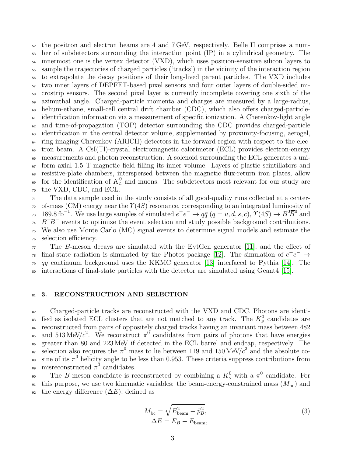the positron and electron beams are 4 and 7 GeV, respectively. Belle II comprises a num- ber of subdetectors surrounding the interaction point (IP) in a cylindrical geometry. The <sup>54</sup> innermost one is the vertex detector (VXD), which uses position-sensitive silicon layers to sample the trajectories of charged particles ('tracks') in the vicinity of the interaction region to extrapolate the decay positions of their long-lived parent particles. The VXD includes two inner layers of DEPFET-based pixel sensors and four outer layers of double-sided mi- crostrip sensors. The second pixel layer is currently incomplete covering one sixth of the azimuthal angle. Charged-particle momenta and charges are measured by a large-radius, helium-ethane, small-cell central drift chamber (CDC), which also offers charged-particle- identification information via a measurement of specific ionization. A Cherenkov-light angle  $\epsilon_2$  and time-of-propagation (TOP) detector surrounding the CDC provides charged-particle identification in the central detector volume, supplemented by proximity-focusing, aerogel, ring-imaging Cherenkov (ARICH) detectors in the forward region with respect to the elec- tron beam. A CsI(Tl)-crystal electromagnetic calorimeter (ECL) provides electron-energy measurements and photon reconstruction. A solenoid surrounding the ECL generates a uni- form axial 1.5 T magnetic field filling its inner volume. Layers of plastic scintillators and resistive-plate chambers, interspersed between the magnetic flux-return iron plates, allow <sup>69</sup> for the identification of  $K<sub>L</sub><sup>0</sup>$  and muons. The subdetectors most relevant for our study are the VXD, CDC, and ECL.

 $71$  The data sample used in the study consists of all good-quality runs collected at a center-<sup>72</sup> of-mass (CM) energy near the  $\Upsilon(4S)$  resonance, corresponding to an integrated luminosity of <sup>73</sup> 189.8 fb<sup>-1</sup>. We use large samples of simulated  $e^+e^- \to q\bar{q}$   $(q = u, d, s, c)$ ,  $\gamma(4S) \to B^0\overline{B}^0$  and  $B^+B^-$  events to optimize the event selection and study possible background contributions. <sup>75</sup> We also use Monte Carlo (MC) signal events to determine signal models and estimate the <sup>76</sup> selection efficiency.

 $77$  The B-meson decays are simulated with the EvtGen generator [\[11\]](#page-11-3), and the effect of <sup>78</sup> final-state radiation is simulated by the Photos package [\[12\]](#page-11-4). The simulation of  $e^+e^- \rightarrow$  $\overline{q}$  qq continuum background uses the KKMC generator [\[13\]](#page-11-5) interfaced to Pythia [\[14\]](#page-11-6). The <sup>80</sup> interactions of final-state particles with the detector are simulated using Geant4 [\[15\]](#page-11-7).

### 81 3. RECONSTRUCTION AND SELECTION

82 Charged-particle tracks are reconstructed with the VXD and CDC. Photons are identi-<sup>83</sup> fied as isolated ECL clusters that are not matched to any track. The  $K_s^0$  candidates are <sup>84</sup> reconstructed from pairs of oppositely charged tracks having an invariant mass between 482 <sup>85</sup> and 513 MeV/ $c^2$ . We reconstruct  $\pi^0$  candidates from pairs of photons that have energies <sup>86</sup> greater than 80 and 223 MeV if detected in the ECL barrel and endcap, respectively. The s. selection also requires the  $\pi^0$  mass to lie between 119 and 150 MeV/ $c^2$  and the absolute coss sine of its  $\pi^0$  helicity angle to be less than 0.953. These criteria suppress contributions from <sup>89</sup> misreconstructed  $\pi^0$  candidates.

<sup>90</sup> The B-meson candidate is reconstructed by combining a  $K_s^0$  with a  $\pi^0$  candidate. For <sup>91</sup> this purpose, we use two kinematic variables: the beam-energy-constrained mass  $(M_{\text{bc}})$  and 92 the energy difference  $(\Delta E)$ , defined as

$$
M_{\rm bc} = \sqrt{E_{\rm beam}^2 - \vec{p}_B^2},
$$
  
\n
$$
\Delta E = E_B - E_{\rm beam},
$$
\n(3)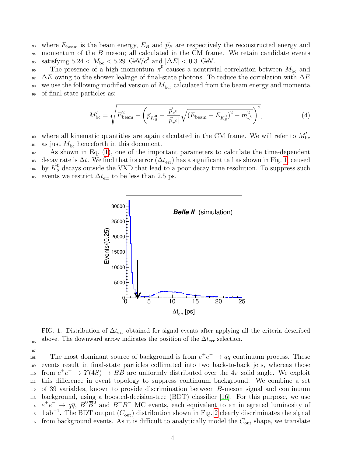93 where  $E_{\text{beam}}$  is the beam energy,  $E_B$  and  $\vec{p}_B$  are respectively the reconstructed energy and 94 momentum of the B meson; all calculated in the CM frame. We retain candidate events <sup>95</sup> satisfying  $5.24 < M_{\text{bc}} < 5.29$  GeV/ $c^2$  and  $|\Delta E| < 0.3$  GeV.

<sup>96</sup> The presence of a high momentum  $\pi^0$  causes a nontrivial correlation between  $M_{\text{bc}}$  and 97  $\Delta E$  owing to the shower leakage of final-state photons. To reduce the correlation with  $\Delta E$ we use the following modified version of  $M_{\text{bc}}$ , calculated from the beam energy and momenta <sup>99</sup> of final-state particles as:

$$
M'_{\rm bc} = \sqrt{E_{\rm beam}^2 - \left(\vec{p}_{K_S^0} + \frac{\vec{p}_{\pi^0}}{|\vec{p}_{\pi^0}|} \sqrt{(E_{\rm beam} - E_{K_S^0})^2 - m_{\pi^0}^2}\right)^2},\tag{4}
$$

where all kinematic quantities are again calculated in the CM frame. We will refer to  $M'_{\text{bc}}$  $_{101}$  as just  $M_{\rm bc}$  henceforth in this document.

<sup>102</sup> As shown in Eq. [\(1\)](#page-1-0), one of the important parameters to calculate the time-dependent 103 decay rate is  $\Delta t$ . We find that its error  $(\Delta t_{\rm err})$  has a significant tail as shown in Fig. [1,](#page-3-0) caused  $\Delta_{104}$  by  $\tilde{K}_s^0$  decays outside the VXD that lead to a poor decay time resolution. To suppress such to be less than 2.5 ps.  $\epsilon$ 



<span id="page-3-0"></span>FIG. 1. Distribution of  $\Delta t_{\text{err}}$  obtained for signal events after applying all the criteria described above. The downward arrow indicates the position of the  $\Delta t_{\text{err}}$  selection. 106

107 The most dominant source of background is from  $e^+e^- \rightarrow q\bar{q}$  continuum process. These <sup>109</sup> events result in final-state particles collimated into two back-to-back jets, whereas those  $f_{110}$  from  $e^+e^- \to \gamma(4S) \to B\overline{B}$  are uniformly distributed over the  $4\pi$  solid angle. We exploit <sup>111</sup> this difference in event topology to suppress continuum background. We combine a set <sup>112</sup> of 39 variables, known to provide discrimination between B-meson signal and continuum <sup>113</sup> background, using a boosted-decision-tree (BDT) classifier [\[16\]](#page-11-8). For this purpose, we use  $e^+e^- \rightarrow q\bar{q}$ ,  $B^0\bar{B}^0$  and  $B^+B^-$  MC events, each equivalent to an integrated luminosity of <sup>115</sup> 1 ab<sup>-1</sup>. The BDT output  $(C_{\text{out}})$  distribution shown in Fig. [2](#page-4-0) clearly discriminates the signal  $\mu_{\text{116}}$  from background events. As it is difficult to analytically model the  $C_{\text{out}}$  shape, we translate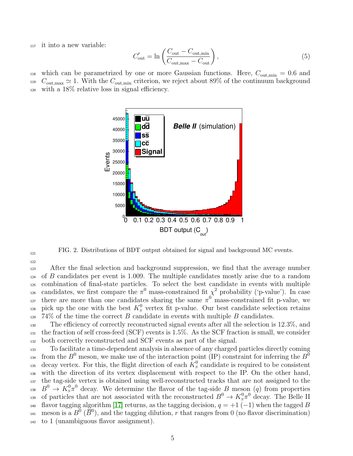<sup>117</sup> it into a new variable:

$$
C'_{\text{out}} = \ln\left(\frac{C_{\text{out}} - C_{\text{out,min}}}{C_{\text{out,max}} - C_{\text{out}}}\right),\tag{5}
$$

118 which can be parametrized by one or more Gaussian functions. Here,  $C_{\text{out,min}} = 0.6$  and  $C_{\text{out,max}} \simeq 1$ . With the  $C_{\text{out,min}}$  criterion, we reject about 89% of the continuum background <sup>120</sup> with a 18% relative loss in signal efficiency.



<span id="page-4-0"></span>FIG. 2. Distributions of BDT output obtained for signal and background MC events.

121 122

<sup>123</sup> After the final selection and background suppression, we find that the average number  $124$  of B candidates per event is 1.009. The multiple candidates mostly arise due to a random <sup>125</sup> combination of final-state particles. To select the best candidate in events with multiple <sup>126</sup> candidates, we first compare the  $\pi^0$  mass-constrained fit  $\chi^2$  probability ('p-value'). In case there are more than one candidates sharing the same  $\pi^0$  mass-constrained fit p-value, we <sup>128</sup> pick up the one with the best  $K_s^0$  vertex fit p-value. Our best candidate selection retains  $129\,74\%$  of the time the correct B candidate in events with multiple B candidates.

<sup>130</sup> The efficiency of correctly reconstructed signal events after all the selection is 12.3%, and <sup>131</sup> the fraction of self cross-feed (SCF) events is 1.5%. As the SCF fraction is small, we consider <sup>132</sup> both correctly reconstructed and SCF events as part of the signal.

<sup>133</sup> To facilitate a time-dependent analysis in absence of any charged particles directly coming from the  $B^0$  meson, we make use of the interaction point (IP) constraint for inferring the  $B^0$ 134 <sup>135</sup> decay vertex. For this, the flight direction of each  $K_S^0$  candidate is required to be consistent <sup>136</sup> with the direction of its vertex displacement with respect to the IP. On the other hand, <sup>137</sup> the tag-side vertex is obtained using well-reconstructed tracks that are not assigned to the <sup>138</sup>  $B^0 \to K^0_s \pi^0$  decay. We determine the flavor of the tag-side B meson (q) from properties 139 of particles that are not associated with the reconstructed  $B^0 \to K_s^0 \pi^0$  decay. The Belle II 140 flavor tagging algorithm [\[17\]](#page-11-9) returns, as the tagging decision,  $q = +1$  (-1) when the tagged B <sup>141</sup> meson is a  $B^0$  ( $\overline{B}{}^0$ ), and the tagging dilution, r that ranges from 0 (no flavor discrimination) <sup>142</sup> to 1 (unambiguous flavor assignment).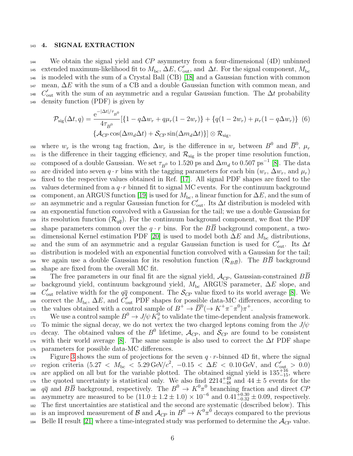### 143 4. SIGNAL EXTRACTION

<sup>144</sup> We obtain the signal yield and  $CP$  asymmetry from a four-dimensional  $(4D)$  unbinned <sup>145</sup> extended maximum-likelihood fit to  $M_{\text{bc}}$ ,  $\Delta E$ ,  $C'_{\text{out}}$ , and  $\Delta t$ . For the signal component,  $M_{\text{bc}}$ <sup>146</sup> is modeled with the sum of a Crystal Ball (CB) [\[18\]](#page-11-10) and a Gaussian function with common  $147$  mean,  $\Delta E$  with the sum of a CB and a double Gaussian function with common mean, and <sup>148</sup>  $C'_{\text{out}}$  with the sum of an asymmetric and a regular Gaussian function. The  $\Delta t$  probability <sup>149</sup> density function (PDF) is given by

$$
\mathcal{P}_{\text{sig}}(\Delta t, q) = \frac{e^{-|\Delta t|/\tau_{B^0}}}{4\tau_{B^0}} \left[ \{ 1 - q\Delta w_r + q\mu_r (1 - 2w_r) \} + \{ q(1 - 2w_r) + \mu_r (1 - q\Delta w_r) \} \right] \tag{6}
$$

$$
\left\{ \mathcal{A}_{CP} \cos(\Delta m_d \Delta t) + \mathcal{S}_{CP} \sin(\Delta m_d \Delta t) \} \right] \otimes \mathcal{R}_{\text{sig}},
$$

where  $w_r$  is the wrong tag fraction,  $\Delta w_r$  is the difference in  $w_r$  between  $B^0$  and  $\overline{B}^0$ ,  $\mu_r$ 150 <sup>151</sup> is the difference in their tagging efficiency, and  $\mathcal{R}_{sig}$  is the proper time resolution function, <sup>152</sup> composed of a double Gaussian. We set  $\tau_{B^0}$  to 1.520 ps and  $\Delta m_d$  to 0.507 ps<sup>-1</sup> [\[8\]](#page-11-0). The data are divided into seven  $q \cdot r$  bins with the tagging parameters for each bin  $(w_r, \Delta w_r, \text{ and } \mu_r)$ <sup>154</sup> fixed to the respective values obtained in Ref. [\[17\]](#page-11-9). All signal PDF shapes are fixed to the 155 values determined from a  $q \cdot r$  binned fit to signal MC events. For the continuum background 156 component, an ARGUS function [\[19\]](#page-11-11) is used for  $M_{\text{bc}}$ , a linear function for  $\Delta E$ , and the sum of <sup>157</sup> an asymmetric and a regular Gaussian function for  $C'_{\text{out}}$ . Its  $\Delta t$  distribution is modeled with <sup>158</sup> an exponential function convolved with a Gaussian for the tail; we use a double Gaussian for <sup>159</sup> its resolution function  $(\mathcal{R}_{q\bar{q}})$ . For the continuum background component, we float the PDF 160 shape parameters common over the  $q \cdot r$  bins. For the BB background component, a two- $161$  dimensional Kernel estimation PDF [\[20\]](#page-11-12) is used to model both  $\Delta E$  and  $M_{\rm bc}$  distributions, <sup>162</sup> and the sum of an asymmetric and a regular Gaussian function is used for  $C'_{\text{out}}$ . Its  $\Delta t$ <sup>163</sup> distribution is modeled with an exponential function convolved with a Gaussian for the tail; <sup>164</sup> we again use a double Gaussian for its resolution function  $(\mathcal{R}_{B\overline{B}})$ . The BB background <sup>165</sup> shape are fixed from the overall MC fit.

166 The free parameters in our final fit are the signal yield,  $\mathcal{A}_{CP}$ , Gaussian-constrained  $B\overline{B}$  $167$  background yield, continuum background yield,  $M_{\text{bc}}$  ARGUS parameter,  $\Delta E$  slope, and <sup>168</sup>  $C'_{\text{out}}$  relative width for the  $q\bar{q}$  component. The  $\mathcal{S}_{C\!P}$  value fixed to its world average [\[8\]](#page-11-0). We <sup>169</sup> correct the  $M_{\text{bc}}$ ,  $\Delta E$ , and  $\overline{C}_{\text{out}}'$  PDF shapes for possible data-MC differences, according to 170 the values obtained with a control sample of  $B^+ \to \overline{D}^0 (\to K^+ \pi^- \pi^0) \pi^+$ .

171 We use a control sample  $B^0 \to J/\psi K^0_s$  to validate the time-dependent analysis framework. 172 To mimic the signal decay, we do not vertex the two charged leptons coming from the  $J/\psi$ <sup>173</sup> decay. The obtained values of the  $B^0$  lifetime,  $\mathcal{A}_{CP}$ , and  $\mathcal{S}_{CP}$  are found to be consistent  $174$  with their world average [\[8\]](#page-11-0). The same sample is also used to correct the  $\Delta t$  PDF shape <sup>175</sup> parameters for possible data-MC differences.

 $F_{176}$  Figure [3](#page-6-0) shows the sum of projections for the seven  $q \cdot r$ -binned 4D fit, where the signal 177 region criteria (5.27 <  $M_{\text{bc}}$  < 5.29 GeV/ $c^2$ , −0.15 <  $\Delta E$  < 0.10 GeV, and  $C'_{\text{out}} > 0.0$ )  $\alpha$ <sub>178</sub> are applied on all but for the variable plotted. The obtained signal yield is  $135^{+16}_{-15}$ , where the quoted uncertainty is statistical only. We also find  $2214^{+49}_{-48}$  and  $44 \pm 5$  events for the <sup>180</sup>  $q\bar{q}$  and  $B\bar{B}$  background, respectively. The  $B^0 \to K^0\pi^0$  branching fraction and direct CP asymmetry are measured to be  $(11.0 \pm 1.2 \pm 1.0) \times 10^{-6}$  and  $0.41_{-0.32}^{+0.30} \pm 0.09$ , respectively. <sup>182</sup> The first uncertainties are statistical and the second are systematic (described below). This <sup>183</sup> is an improved measurement of  $\mathcal{B}$  and  $\mathcal{A}_{CP}$  in  $B^0 \to K^0 \pi^0$  decays compared to the previous 184 Belle II result [\[21\]](#page-11-13) where a time-integrated study was performed to determine the  $\mathcal{A}_{CP}$  value.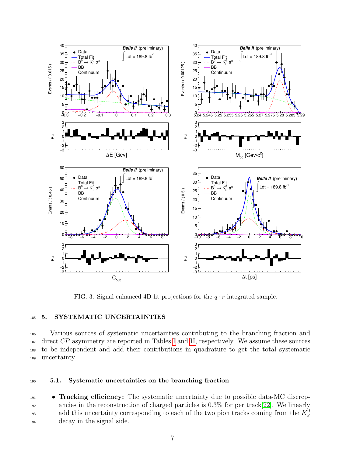

<span id="page-6-0"></span>FIG. 3. Signal enhanced 4D fit projections for the  $q \cdot r$  integrated sample.

### 185 5. SYSTEMATIC UNCERTAINTIES

 Various sources of systematic uncertainties contributing to the branching fraction and direct CP asymmetry are reported in Tables [I](#page-8-0) and [II,](#page-9-0) respectively. We assume these sources to be independent and add their contributions in quadrature to get the total systematic uncertainty.

### <sup>190</sup> 5.1. Systematic uncertainties on the branching fraction

**• Tracking efficiency:** The systematic uncertainty due to possible data-MC discrep-<sup>192</sup> ancies in the reconstruction of charged particles is 0.3% for per track[\[22\]](#page-11-14). We linearly add this uncertainty corresponding to each of the two pion tracks coming from the  $K_s^0$ 193 <sup>194</sup> decay in the signal side.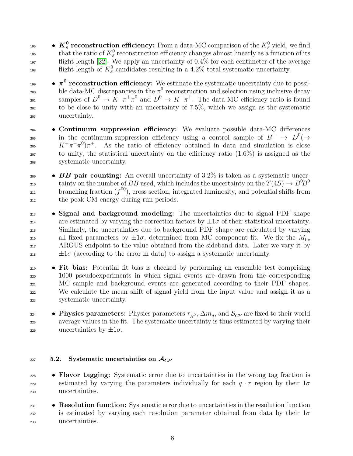$\bullet \ \textbf{\textit{K}}_{S}^{\bm{0}}$  reconstruction efficiency: From a data-MC comparison of the  $K_{S}^0$  yield, we find that the ratio of  $K_S^0$  reconstruction efficiency changes almost linearly as a function of its  $197$  flight length [\[22\]](#page-11-14). We apply an uncertainty of 0.4% for each centimeter of the average flight length of  $K_s^0$  candidates resulting in a 4.2% total systematic uncertainty.

 $\bullet \; \pi^0$  reconstruction efficiency: We estimate the systematic uncertainty due to possible data-MC discrepancies in the  $\pi^0$  reconstruction and selection using inclusive decay samples of  $D^0 \to K^-\pi^+\pi^0$  and  $D^0 \to K^-\pi^+$ . The data-MC efficiency ratio is found <sup>202</sup> to be close to unity with an uncertainty of 7.5%, which we assign as the systematic <sup>203</sup> uncertainty.

- <sup>204</sup> Continuum suppression efficiency: We evaluate possible data-MC differences 205 in the continuum-suppression efficiency using a control sample of  $B^+ \to \overline{D}^0$   $\to$ 206  $K^+\pi^-\pi^0\pi^+$ . As the ratio of efficiency obtained in data and simulation is close <sup>207</sup> to unity, the statistical uncertainty on the efficiency ratio (1.6%) is assigned as the <sup>208</sup> systematic uncertainty.
- $\bullet$  BB pair counting: An overall uncertainty of 3.2% is taken as a systematic uncertainty on the number of  $B\overline{B}$  used, which includes the uncertainty on the  $\Upsilon(4S) \to B^0 \overline{B}{}^0$ 210  $b$ ranching fraction  $(f^{00})$ , cross section, integrated luminosity, and potential shifts from <sup>212</sup> the peak CM energy during run periods.
- <sup>213</sup> Signal and background modeling: The uncertainties due to signal PDF shape are estimated by varying the correction factors by  $\pm 1\sigma$  of their statistical uncertainty. <sup>215</sup> Similarly, the uncertainties due to background PDF shape are calculated by varying all fixed parameters by  $\pm 1\sigma$ , determined from MC component fit. We fix the  $M_{\rm bc}$ <sup>217</sup> ARGUS endpoint to the value obtained from the sideband data. Later we vary it by  $\pm 1\sigma$  (according to the error in data) to assign a systematic uncertainty.

 • Fit bias: Potential fit bias is checked by performing an ensemble test comprising 1000 pseudoexperiments in which signal events are drawn from the corresponding <sup>221</sup> MC sample and background events are generated according to their PDF shapes. We calculate the mean shift of signal yield from the input value and assign it as a systematic uncertainty.

• Physics parameters: Physics parameters  $\tau_{B^0}$ ,  $\Delta m_d$ , and  $\mathcal{S}_{CP}$  are fixed to their world <sup>225</sup> average values in the fit. The systematic uncertainty is thus estimated by varying their 226 uncertainties by  $\pm 1\sigma$ .

## 227 5.2. Systematic uncertainties on  $\mathcal{A}_{CP}$

- **Flavor tagging:** Systematic error due to uncertainties in the wrong tag fraction is estimated by varying the parameters individually for each  $q \cdot r$  region by their  $1\sigma$ <sup>230</sup> uncertainties.
- <sup>231</sup> Resolution function: Systematic error due to uncertainties in the resolution function 232 is estimated by varying each resolution parameter obtained from data by their  $1\sigma$ <sup>233</sup> uncertainties.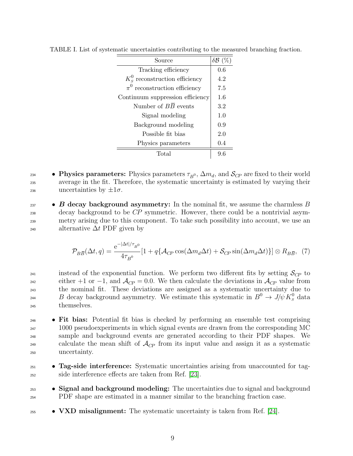| Source                            | $\delta\mathcal{B}$ (%) |
|-----------------------------------|-------------------------|
| Tracking efficiency               | 0.6                     |
| $K_s^0$ reconstruction efficiency | 4.2                     |
| $\pi^0$ reconstruction efficiency | 7.5                     |
| Continuum suppression efficiency  | 1.6                     |
| Number of $B\overline{B}$ events  | 3.2                     |
| Signal modeling                   | 1.0                     |
| Background modeling               | 0.9                     |
| Possible fit bias                 | 2.0                     |
| Physics parameters                | 0.4                     |
| Total                             |                         |

<span id="page-8-0"></span>TABLE I. List of systematic uncertainties contributing to the measured branching fraction.

- Physics parameters: Physics parameters  $\tau_{B^0}$ ,  $\Delta m_d$ , and  $\mathcal{S}_{CP}$  are fixed to their world <sup>235</sup> average in the fit. Therefore, the systematic uncertainty is estimated by varying their <sup>236</sup> uncertainties by  $\pm 1\sigma$ .
- $\bullet$  B decay background asymmetry: In the nominal fit, we assume the charmless B <sup>238</sup> decay background to be CP symmetric. However, there could be a nontrivial asym-<sup>239</sup> metry arising due to this component. To take such possibility into account, we use an 240 alternative  $\Delta t$  PDF given by

$$
\mathcal{P}_{B\overline{B}}(\Delta t, q) = \frac{e^{-|\Delta t|/\tau_{B^0}}}{4\tau_{B^0}} [1 + q\{\mathcal{A}_{CP}\cos(\Delta m_d \Delta t) + \mathcal{S}_{CP}\sin(\Delta m_d \Delta t)\}] \otimes R_{B\overline{B}}, \tag{7}
$$

<sup>241</sup> instead of the exponential function. We perform two different fits by setting  $\mathcal{S}_{CP}$  to either +1 or −1, and  $\mathcal{A}_{CP} = 0.0$ . We then calculate the deviations in  $\mathcal{A}_{CP}$  value from <sup>243</sup> the nominal fit. These deviations are assigned as a systematic uncertainty due to <sup>244</sup> B decay background asymmetry. We estimate this systematic in  $B^0 \to J/\psi K^0_S$  data <sup>245</sup> themselves.

- <sup>246</sup> Fit bias: Potential fit bias is checked by performing an ensemble test comprising <sup>247</sup> 1000 pseudoexperiments in which signal events are drawn from the corresponding MC <sup>248</sup> sample and background events are generated according to their PDF shapes. We calculate the mean shift of  $\mathcal{A}_{CP}$  from its input value and assign it as a systematic <sup>250</sup> uncertainty.
- <sup>251</sup> **Tag-side interference:** Systematic uncertainties arising from unaccounted for tag-<sup>252</sup> side interference effects are taken from Ref. [\[23\]](#page-11-15).
- <sup>253</sup> Signal and background modeling: The uncertainties due to signal and background <sup>254</sup> PDF shape are estimated in a manner similar to the branching fraction case.
- $\bullet$  VXD misalignment: The systematic uncertainty is taken from Ref. [\[24\]](#page-11-16).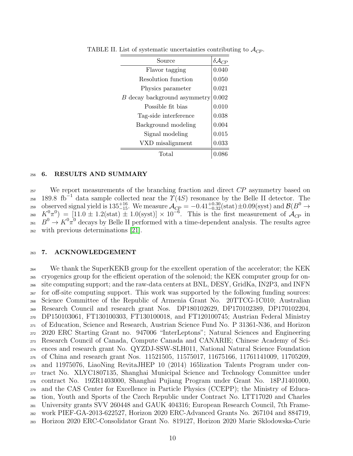<span id="page-9-0"></span>

| Source                       |       |
|------------------------------|-------|
| Flavor tagging               | 0.040 |
| Resolution function          | 0.050 |
| Physics parameter            | 0.021 |
| B decay background asymmetry | 0.002 |
| Possible fit bias            | 0.010 |
| Tag-side interference        | 0.038 |
| Background modeling          | 0.004 |
| Signal modeling              | 0.015 |
| VXD misalignment             | 0.033 |
| Total                        |       |

TABLE II. List of systematic uncertainties contributing to  $\mathcal{A}_{CP}$ .

### <sup>256</sup> 6. RESULTS AND SUMMARY

<sup>257</sup> We report measurements of the branching fraction and direct CP asymmetry based on 258 189.8 fb<sup>-1</sup> data sample collected near the  $\widetilde{\Upsilon}(4S)$  resonance by the Belle II detector. The to  $\Delta_{CP}$  =  $-0.41^{+0.30}_{-0.32} \text{(stat)} \pm 0.09 \text{(syst)}$  and  $\mathcal{B}(B^0 \to B^0)$ <sub>260</sub>  $K^0(\pi^0) = [11.0 \pm 1.2(\text{stat}) \pm 1.0(\text{syst})] \times 10^{-6}$ . This is the first measurement of  $\mathcal{A}_{CP}$  in  $B^0 \to K^0 \pi^0$  decays by Belle II performed with a time-dependent analysis. The results agree <sup>262</sup> with previous determinations [\[21\]](#page-11-13).

### <sup>263</sup> 7. ACKNOWLEDGEMENT

 We thank the SuperKEKB group for the excellent operation of the accelerator; the KEK cryogenics group for the efficient operation of the solenoid; the KEK computer group for on- site computing support; and the raw-data centers at BNL, DESY, GridKa, IN2P3, and INFN for off-site computing support. This work was supported by the following funding sources: Science Committee of the Republic of Armenia Grant No. 20TTCG-1C010; Australian Research Council and research grant Nos. DP180102629, DP170102389, DP170102204, DP150103061, FT130100303, FT130100018, and FT120100745; Austrian Federal Ministry of Education, Science and Research, Austrian Science Fund No. P 31361-N36, and Horizon 2020 ERC Starting Grant no. 947006 "InterLeptons"; Natural Sciences and Engineering Research Council of Canada, Compute Canada and CANARIE; Chinese Academy of Sci- ences and research grant No. QYZDJ-SSW-SLH011, National Natural Science Foundation of China and research grant Nos. 11521505, 11575017, 11675166, 11761141009, 11705209, and 11975076, LiaoNing RevitaJHEP 10 (2014) 165lization Talents Program under con- tract No. XLYC1807135, Shanghai Municipal Science and Technology Committee under contract No. 19ZR1403000, Shanghai Pujiang Program under Grant No. 18PJ1401000, and the CAS Center for Excellence in Particle Physics (CCEPP); the Ministry of Educa- tion, Youth and Sports of the Czech Republic under Contract No. LTT17020 and Charles University grants SVV 260448 and GAUK 404316; European Research Council, 7th Frame- work PIEF-GA-2013-622527, Horizon 2020 ERC-Advanced Grants No. 267104 and 884719, Horizon 2020 ERC-Consolidator Grant No. 819127, Horizon 2020 Marie Sklodowska-Curie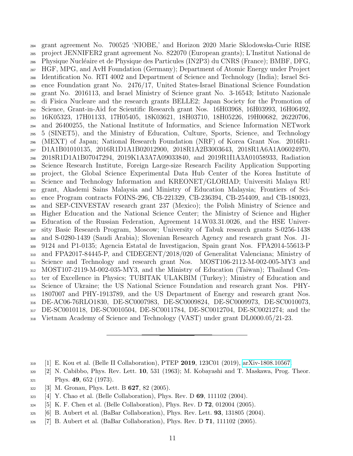grant agreement No. 700525 'NIOBE,' and Horizon 2020 Marie Sklodowska-Curie RISE project JENNIFER2 grant agreement No. 822070 (European grants); L'Institut National de Physique Nucl´eaire et de Physique des Particules (IN2P3) du CNRS (France); BMBF, DFG, HGF, MPG, and AvH Foundation (Germany); Department of Atomic Energy under Project Identification No. RTI 4002 and Department of Science and Technology (India); Israel Sci- ence Foundation grant No. 2476/17, United States-Israel Binational Science Foundation grant No. 2016113, and Israel Ministry of Science grant No. 3-16543; Istituto Nazionale di Fisica Nucleare and the research grants BELLE2; Japan Society for the Promotion of Science, Grant-in-Aid for Scientific Research grant Nos. 16H03968, 16H03993, 16H06492, 16K05323, 17H01133, 17H05405, 18K03621, 18H03710, 18H05226, 19H00682, 26220706, and 26400255, the National Institute of Informatics, and Science Information NETwork 5 (SINET5), and the Ministry of Education, Culture, Sports, Science, and Technology (MEXT) of Japan; National Research Foundation (NRF) of Korea Grant Nos. 2016R1- D1A1B01010135, 2016R1D1A1B02012900, 2018R1A2B3003643, 2018R1A6A1A06024970, 2018R1D1A1B07047294, 2019K1A3A7A09033840, and 2019R1I1A3A01058933, Radiation Science Research Institute, Foreign Large-size Research Facility Application Supporting project, the Global Science Experimental Data Hub Center of the Korea Institute of Science and Technology Information and KREONET/GLORIAD; Universiti Malaya RU grant, Akademi Sains Malaysia and Ministry of Education Malaysia; Frontiers of Sci- ence Program contracts FOINS-296, CB-221329, CB-236394, CB-254409, and CB-180023, and SEP-CINVESTAV research grant 237 (Mexico); the Polish Ministry of Science and Higher Education and the National Science Center; the Ministry of Science and Higher Education of the Russian Federation, Agreement 14.W03.31.0026, and the HSE Univer- sity Basic Research Program, Moscow; University of Tabuk research grants S-0256-1438 and S-0280-1439 (Saudi Arabia); Slovenian Research Agency and research grant Nos. J1- 9124 and P1-0135; Agencia Estatal de Investigacion, Spain grant Nos. FPA2014-55613-P and FPA2017-84445-P, and CIDEGENT/2018/020 of Generalitat Valenciana; Ministry of Science and Technology and research grant Nos. MOST106-2112-M-002-005-MY3 and MOST107-2119-M-002-035-MY3, and the Ministry of Education (Taiwan); Thailand Cen- ter of Excellence in Physics; TUBITAK ULAKBIM (Turkey); Ministry of Education and Science of Ukraine; the US National Science Foundation and research grant Nos. PHY- 1807007 and PHY-1913789, and the US Department of Energy and research grant Nos. DE-AC06-76RLO1830, DE-SC0007983, DE-SC0009824, DE-SC0009973, DE-SC0010073, DE-SC0010118, DE-SC0010504, DE-SC0011784, DE-SC0012704, DE-SC0021274; and the Vietnam Academy of Science and Technology (VAST) under grant DL0000.05/21-23.

- <span id="page-10-2"></span>[3] M. Gronau, Phys. Lett. B 627, 82 (2005).
- <span id="page-10-3"></span> $323 \quad [4]$  Y. Chao et al. (Belle Collaboration), Phys. Rev. D 69, 111102 (2004).
- <span id="page-10-4"></span>[5] K. F. Chen et al. (Belle Collaboration), Phys. Rev. D 72, 012004 (2005).
- <span id="page-10-5"></span>[6] B. Aubert et al. (BaBar Collaboration), Phys. Rev. Lett. 93, 131805 (2004).
- <span id="page-10-6"></span>[7] B. Aubert et al. (BaBar Collaboration), Phys. Rev. D 71, 111102 (2005).

<span id="page-10-0"></span>[1] E. Kou et al. (Belle II Collaboration), PTEP 2019, 123C01 (2019), [arXiv-1808.10567.](https://arxiv.org/abs/1808.10567)

<span id="page-10-1"></span> [2] N. Cabibbo, Phys. Rev. Lett. 10, 531 (1963); M. Kobayashi and T. Maskawa, Prog. Theor.  $_{321}$  Phys. 49, 652 (1973).